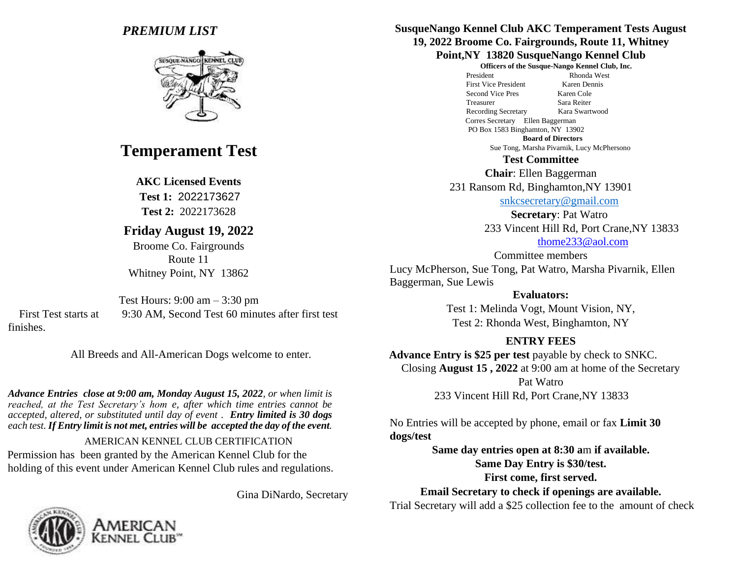# *PREMIUM LIST*



# **Temperament Test**

#### **AKC Licensed Events**

**Test 1:** 2022173627 **Test 2:** 2022173628

# **Friday August 19, 2022**

Broome Co. Fairgrounds Route 11 Whitney Point, NY 13862

Test Hours: 9:00 am – 3:30 pm First Test starts at 9:30 AM, Second Test 60 minutes after first test finishes.

All Breeds and All-American Dogs welcome to enter.

*Advance Entries close at 9:00 am, Monday August 15, 2022, or when limit is reached, at the Test Secretary's hom e, after which time entries cannot be accepted, altered, or substituted until day of event . Entry limited is 30 dogs each test. If Entry limit is not met, entries will be accepted the day of the event.* 

### AMERICAN KENNEL CLUB CERTIFICATION

Permission has been granted by the American Kennel Club for the holding of this event under American Kennel Club rules and regulations.

Gina DiNardo, Secretary



#### **SusqueNango Kennel Club AKC Temperament Tests August 19, 2022 Broome Co. Fairgrounds, Route 11, Whitney Point,NY 13820 SusqueNango Kennel Club**

**Officers of the Susque-Nango Kennel Club, Inc.** 

 President Rhonda West First Vice President Karen Dennis Second Vice Pres Karen Cole Treasurer Sara Reiter Recording Secretary Kara Swartwood Corres Secretary Ellen Baggerman PO Box 1583 Binghamton, NY 13902

**Board of Directors** 

Sue Tong, Marsha Pivarnik, Lucy McPhersono

**Test Committee** 

**Chair**: Ellen Baggerman

231 Ransom Rd, Binghamton,NY 13901

[snkcsecretary@gmail.com](mailto:snkcsecretary@gmail.com)

**Secretary**: Pat Watro 233 Vincent Hill Rd, Port Crane,NY 13833 thome233@aol.com

Committee members Lucy McPherson, Sue Tong, Pat Watro, Marsha Pivarnik, Ellen Baggerman, Sue Lewis

#### **Evaluators:**

Test 1: Melinda Vogt, Mount Vision, NY, Test 2: Rhonda West, Binghamton, NY

### **ENTRY FEES**

**Advance Entry is \$25 per test** payable by check to SNKC. Closing **August 15 , 2022** at 9:00 am at home of the Secretary Pat Watro

233 Vincent Hill Rd, Port Crane,NY 13833

No Entries will be accepted by phone, email or fax **Limit 30 dogs/test**

> **Same day entries open at 8:30 a**m **if available. Same Day Entry is \$30/test. First come, first served.**

**Email Secretary to check if openings are available.** 

Trial Secretary will add a \$25 collection fee to the amount of check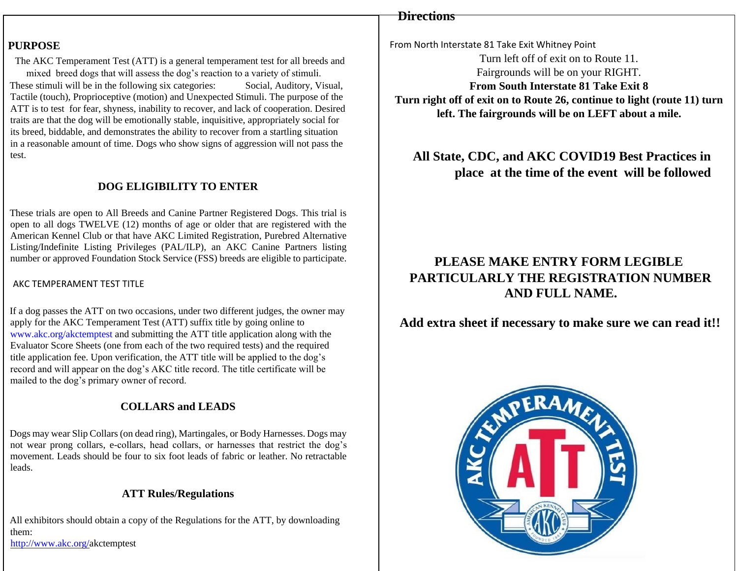## **Directions**

#### **PURPOSE**

The AKC Temperament Test (ATT) is a general temperament test for all breeds and mixed breed dogs that will assess the dog's reaction to a variety of stimuli. These stimuli will be in the following six categories: Social, Auditory, Visual, Tactile (touch), Proprioceptive (motion) and Unexpected Stimuli. The purpose of the ATT is to test for fear, shyness, inability to recover, and lack of cooperation. Desired traits are that the dog will be emotionally stable, inquisitive, appropriately social for its breed, biddable, and demonstrates the ability to recover from a startling situation in a reasonable amount of time. Dogs who show signs of aggression will not pass the test.

### **DOG ELIGIBILITY TO ENTER**

These trials are open to All Breeds and Canine Partner Registered Dogs. This trial is open to all dogs TWELVE (12) months of age or older that are registered with the American Kennel Club or that have AKC Limited Registration, Purebred Alternative Listing/Indefinite Listing Privileges (PAL/ILP), an AKC Canine Partners listing number or approved Foundation Stock Service (FSS) breeds are eligible to participate.

#### AKC TEMPERAMENT TEST TITLE

If a dog passes the ATT on two occasions, under two different judges, the owner may apply for the AKC Temperament Test (ATT) suffix title by going online to www.akc.org/akctemptest and submitting the ATT title application along with the Evaluator Score Sheets (one from each of the two required tests) and the required title application fee. Upon verification, the ATT title will be applied to the dog's record and will appear on the dog's AKC title record. The title certificate will be mailed to the dog's primary owner of record.

## **COLLARS and LEADS**

Dogs may wear Slip Collars (on dead ring), Martingales, or Body Harnesses. Dogs may not wear prong collars, e-collars, head collars, or harnesses that restrict the dog's movement. Leads should be four to six foot leads of fabric or leather. No retractable leads.

### **ATT Rules/Regulations**

All exhibitors should obtain a copy of the Regulations for the ATT, by downloading them: [http://www.akc.org/a](http://www.akc.org/)kctemptest

From North Interstate 81 Take Exit Whitney Point

Turn left off of exit on to Route 11. Fairgrounds will be on your RIGHT. **From South Interstate 81 Take Exit 8 Turn right off of exit on to Route 26, continue to light (route 11) turn left. The fairgrounds will be on LEFT about a mile.** 

**All State, CDC, and AKC COVID19 Best Practices in place at the time of the event will be followed**

# **PLEASE MAKE ENTRY FORM LEGIBLE PARTICULARLY THE REGISTRATION NUMBER AND FULL NAME.**

**Add extra sheet if necessary to make sure we can read it!!**